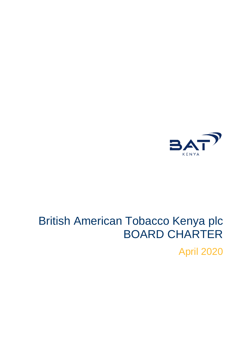

# British American Tobacco Kenya plc BOARD CHARTER

April 2020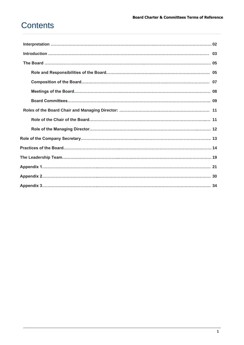# **Contents**

| Role of the Company Secretary……………………………………………………………………………………… 13 |
|-------------------------------------------------------------------|
|                                                                   |
|                                                                   |
|                                                                   |
|                                                                   |
|                                                                   |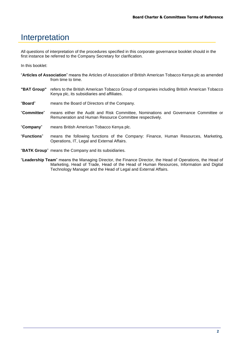# Interpretation

All questions of interpretation of the procedures specified in this corporate governance booklet should in the first instance be referred to the Company Secretary for clarification.

In this booklet:

- "**Articles of Association**" means the Articles of Association of British American Tobacco Kenya plc as amended from time to time.
- **"BAT Group"** refers to the British American Tobacco Group of companies including British American Tobacco Kenya plc, its subsidiaries and affiliates.
- "**Board**" means the Board of Directors of the Company.
- "**Committee**" means either the Audit and Risk Committee, Nominations and Governance Committee or Remuneration and Human Resource Committee respectively.
- "**Company**" means British American Tobacco Kenya plc.
- "**Functions**" means the following functions of the Company: Finance, Human Resources, Marketing, Operations, IT, Legal and External Affairs.
- "**BATK Group**" means the Company and its subsidiaries.
- "**Leadership Team**" means the Managing Director, the Finance Director, the Head of Operations, the Head of Marketing, Head of Trade, Head of the Head of Human Resources, Information and Digital Technology Manager and the Head of Legal and External Affairs.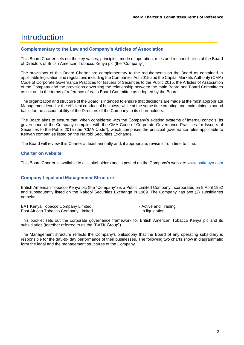# **Introduction**

#### **Complementary to the Law and Company's Articles of Association**

This Board Charter sets out the key values, principles, mode of operation, roles and responsibilities of the Board of Directors of British American Tobacco Kenya plc (the "Company").

The provisions of this Board Charter are complementary to the requirements on the Board as contained in applicable legislation and regulations including the Companies Act 2015 and the Capital Markets Authority (CMA) Code of Corporate Governance Practices for Issuers of Securities to the Public 2015, the Articles of Association of the Company and the provisions governing the relationship between the main Board and Board Committees as set out in the terms of reference of each Board Committee as adopted by the Board.

The organization and structure of the Board is intended to ensure that decisions are made at the most appropriate Management level for the efficient conduct of business, while at the same time creating and maintaining a sound basis for the accountability of the Directors of the Company to its shareholders.

The Board aims to ensure that, when considered with the Company's existing systems of internal controls, its governance of the Company complies with the CMA Code of Corporate Governance Practices for Issuers of Securities to the Public 2015 (the "CMA Code"), which comprises the principal governance rules applicable to Kenyan companies listed on the Nairobi Securities Exchange.

The Board will review this Charter at least annually and, if appropriate, revise it from time to time.

#### **Charter on website**

This Board Charter is available to all stakeholders and is posted on the Company's website: [www.batkenya.com](http://www.batkenya.com/)

#### **Company Legal and Management Structure**

British American Tobacco Kenya plc (the "Company") is a Public Limited Company incorporated on 9 April 1952 and subsequently listed on the Nairobi Securities Exchange in 1969. The Company has two (2) subsidiaries namely:

BAT Kenya Tobacco Company Limited<br>
East African Tobacco Company Limited<br>
Late of Antiquidation<br>
Late of American Senative Antiquidation East African Tobacco Company Limited

- 
- 

This booklet sets out the corporate governance framework for British American Tobacco Kenya plc and its subsidiaries (together referred to as the "BATK Group").

The Management structure reflects the Company's philosophy that the Board of any operating subsidiary is responsible for the day-to- day performance of their businesses. The following two charts show in diagrammatic form the legal and the management structures of the Company.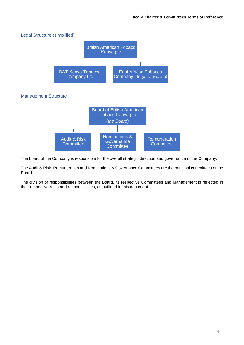

The board of the Company is responsible for the overall strategic direction and governance of the Company.

The Audit & Risk, Remuneration and Nominations & Governance Committees are the principal committees of the Board.

The division of responsibilities between the Board, its respective Committees and Management is reflected in their respective roles and responsibilities, as outlined in this document.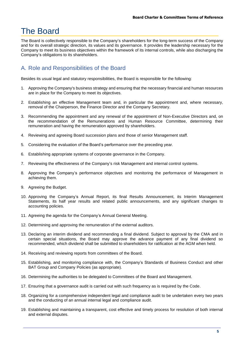# The Board

The Board is collectively responsible to the Company's shareholders for the long-term success of the Company and for its overall strategic direction, its values and its governance. It provides the leadership necessary for the Company to meet its business objectives within the framework of its internal controls, while also discharging the Company's obligations to its shareholders.

# A. Role and Responsibilities of the Board

Besides its usual legal and statutory responsibilities, the Board is responsible for the following:

- 1. Approving the Company's business strategy and ensuring that the necessary financial and human resources are in place for the Company to meet its objectives.
- 2. Establishing an effective Management team and, in particular the appointment and, where necessary, removal of the Chairperson, the Finance Director and the Company Secretary.
- 3. Recommending the appointment and any renewal of the appointment of Non-Executive Directors and, on the recommendation of the Remunerations and Human Resource Committee, determining their remuneration and having the remuneration approved by shareholders.
- 4. Reviewing and agreeing Board succession plans and those of senior Management staff.
- 5. Considering the evaluation of the Board's performance over the preceding year.
- 6. Establishing appropriate systems of corporate governance in the Company.
- 7. Reviewing the effectiveness of the Company's risk Management and internal control systems.
- 8. Approving the Company's performance objectives and monitoring the performance of Management in achieving them.
- 9. Agreeing the Budget.
- 10. Approving the Company's Annual Report, its final Results Announcement, its Interim Management Statements, its half year results and related public announcements, and any significant changes to accounting policies.
- 11. Agreeing the agenda for the Company's Annual General Meeting.
- 12. Determining and approving the remuneration of the external auditors.
- 13. Declaring an interim dividend and recommending a final dividend. Subject to approval by the CMA and in certain special situations, the Board may approve the advance payment of any final dividend so recommended, which dividend shall be submitted to shareholders for ratification at the AGM when held.
- 14. Receiving and reviewing reports from committees of the Board.
- 15. Establishing, and monitoring compliance with, the Company's Standards of Business Conduct and other BAT Group and Company Policies (as appropriate).
- 16. Determining the authorities to be delegated to Committees of the Board and Management.
- 17. Ensuring that a governance audit is carried out with such frequency as is required by the Code.
- 18. Organizing for a comprehensive independent legal and compliance audit to be undertaken every two years and the conducting of an annual internal legal and compliance audit.
- 19. Establishing and maintaining a transparent, cost effective and timely process for resolution of both internal and external disputes.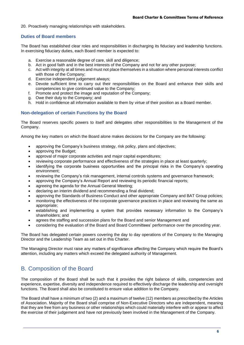#### 20. Proactively managing relationships with stakeholders.

### **Duties of Board members**

The Board has established clear roles and responsibilities in discharging its fiduciary and leadership functions. In exercising fiduciary duties, each Board member is expected to:

- a. Exercise a reasonable degree of care, skill and diligence;
- b. Act in good faith and in the best interests of the Company and not for any other purpose;
- c. Act with integrity at all times and must not place themselves in a situation where personal interests conflict with those of the Company;
- d. Exercise independent judgement always;
- e. Devote sufficient time to carry out their responsibilities on the Board and enhance their skills and competencies to give continued value to the Company;
- f. Promote and protect the image and reputation of the Company;
- g. Owe their duty to the Company; and
- h. Hold in confidence all information available to them by virtue of their position as a Board member.

### **Non-delegation of certain Functions by the Board**

The Board reserves specific powers to itself and delegates other responsibilities to the Management of the Company.

Among the key matters on which the Board alone makes decisions for the Company are the following:

- approving the Company's business strategy, risk policy, plans and objectives;
- approving the Budget;
- approval of major corporate activities and major capital expenditures;
- reviewing corporate performance and effectiveness of the strategies in place at least quarterly;
- identifying the corporate business opportunities and the principal risks in the Company's operating environment;
- reviewing the Company's risk management, internal controls systems and governance framework;
- approving the Company's Annual Report and reviewing its periodic financial reports;
- agreeing the agenda for the Annual General Meeting;
- declaring an interim dividend and recommending a final dividend;
- approving the Standards of Business Conduct and other appropriate Company and BAT Group policies;
- monitoring the effectiveness of the corporate governance practices in place and reviewing the same as appropriate;
- establishing and implementing a system that provides necessary information to the Company's shareholders; and
- agrees the staffing and succession plans for the Board and senior Management and
- considering the evaluation of the Board and Board Committees' performance over the preceding year.

The Board has delegated certain powers covering the day to day operations of the Company to the Managing Director and the Leadership Team as set out in this Charter.

The Managing Director must raise any matters of significance affecting the Company which require the Board's attention, including any matters which exceed the delegated authority of Management.

### B. Composition of the Board

The composition of the Board shall be such that it provides the right balance of skills, competencies and experience, expertise, diversity and independence required to effectively discharge the leadership and oversight functions. The Board shall also be constituted to ensure value addition to the Company.

The Board shall have a minimum of two (2) and a maximum of twelve (12) members as prescribed by the Articles of Association. Majority of the Board shall comprise of Non-Executive Directors who are independent, meaning that they are free from any business or other relationships which could materially interfere with or appear to affect the exercise of their judgement and have not previously been involved in the Management of the Company.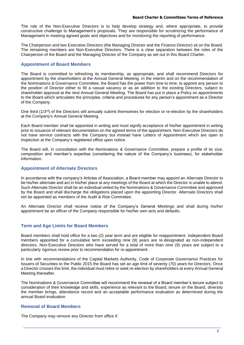#### **Board Charter & Committees Terms of Reference**

The role of the Non-Executive Directors is to help develop strategy and, where appropriate, to provide constructive challenge to Management's proposals. They are responsible for scrutinizing the performance of Management in meeting agreed goals and objectives and for monitoring the reporting of performance.

The Chairperson and two Executive Directors (the Managing Director and the Finance Director) sit on the Board. The remaining members are Non-Executive Directors. There is a clear separation between the roles of the Chairperson of the Board and the Managing Director of the Company as set out in this Board Charter.

#### **Appointment of Board Members**

The Board is committed to refreshing its membership, as appropriate, and shall recommend Directors for appointment by the shareholders at the Annual General Meeting. In the interim and on the recommendation of the Nominations & Governance Committee, the Board has the power from time to time, to appoint any person to the position of Director either to fill a casual vacancy or as an addition to the existing Directors, subject to shareholder approval at the next Annual General Meeting. The Board has put in place a Policy on appointments to the Board which articulates the principles, criteria and procedures for any person's appointment as a Director of the Company.

One third (1/3rd) of the Directors will annually submit themselves for election or re-election by the shareholders at the Company's Annual General Meeting.

Each Board member shall be appointed in writing and must signify acceptance of his/her appointment in writing prior to issuance of relevant documentation on the agreed terms of the appointment. Non-Executive Directors do not have service contracts with the Company but instead have Letters of Appointment which are open to inspection at the Company's registered office upon notice.

The Board will, in consultation with the Nominations & Governance Committee, prepare a profile of its size, composition and member's expertise (considering the nature of the Company's business), for stakeholder information.

### **Appointment of Alternate Directors**

In accordance with the company's Articles of Association, a Board member may appoint an Alternate Director to be his/her alternate and act in his/her place at any meetings of the Board at which the Director is unable to attend. Such Alternate Director shall be an individual vetted by the Nominations & Governance Committee and approved by the Board and shall discharge the obligations placed upon the appointing Director. Alternate Directors shall not be appointed as members of the Audit & Risk Committee.

An Alternate Director shall receive notice of the Company's General Meetings and shall during his/her appointment be an officer of the Company responsible for his/her own acts and defaults.

### **Term and Age Limits for Board Members**

Board members shall hold office for a two (2) year term and are eligible for reappointment. Independent Board members appointed for a cumulative term exceeding nine (9) years are re-designated as non-independent directors. Non-Executive Directors who have served for a total of more than nine (9) years are subject to a particularly rigorous review prior to recommendation for re-appointment.

In line with recommendations of the Capital Markets Authority, Code of Corporate Governance Practices for Issuers of Securities to the Public 2015 the Board has set an age limit of seventy (70) years for Directors. Once a Director crosses this limit, the individual must retire or seek re-election by shareholders at every Annual General Meeting thereafter.

The Nominations & Governance Committee will recommend the renewal of a Board member's tenure subject to consideration of their knowledge and skills, experience as relevant to the Board, tenure on the Board, diversity the member brings, attendance record and an acceptable performance evaluation as determined during the annual Board evaluation.

### **Removal of Board Members**

The Company may remove any Director from office if: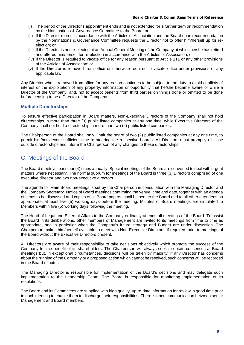- (i) The period of the Director's appointment ends and is not extended for a further term on recommendation by the Nominations & Governance Committee to the Board; or
- (ii) If the Director retires in accordance with the Articles of Association and the Board upon recommendation by the Nominations & Governance Committee requests the Director not to offer him/herself up for reelection; or
- (iii) If the Director is not re-elected at an Annual General Meeting of the Company at which he/she has retired and offered him/herself for re-election in accordance with the Articles of Association; or
- (iv) If the Director is required to vacate office for any reason pursuant to Article 111 or any other provisions of the Articles of Association; or
- (v) If the Director is removed from office or otherwise required to vacate office under provisions of any applicable law.

Any Director who is removed from office for any reason continues to be subject to the duty to avoid conflicts of interest or the exploitation of any property, information or opportunity that he/she became aware of while a Director of the Company; and, not to accept benefits from third parties on things done or omitted to be done before ceasing to be a Director of the Company.

### **Multiple Directorships**

To ensure effective participation in Board matters, Non-Executive Directors of the Company shall not hold directorships in more than three (3) public listed companies at any one time, while Executive Directors of the Company shall not hold a directorship in more than two (2) public listed companies.

The Chairperson of the Board shall only Chair the board of two (2) public listed companies at any one time, to permit him/her devote sufficient time to steering the respective boards. All Directors must promptly disclose outside directorships and inform the Chairperson of any changes to these directorships.

# C. Meetings of the Board

The Board meets at least four (4) times annually. Special meetings of the Board are convened to deal with urgent matters where necessary. The normal quorum for meetings of the Board is three (3) Directors comprised of one executive director and two non-executive directors.

The agenda for Main Board meetings is set by the Chairperson in consultation with the Managing Director and the Company Secretary. Notice of Board meetings confirming the venue, time and date, together with an agenda of items to be discussed and copies of all Board papers, shall be sent to the Board and to all other attendees as appropriate, at least five (5) working days before the meeting. Minutes of Board meetings are circulated to Members within five (5) working days following the meeting.

The Head of Legal and External Affairs to the Company ordinarily attends all meetings of the Board. To assist the Board in its deliberations, other members of Management are invited to its meetings from time to time as appropriate, and in particular when the Company's future strategy and Budget are under discussion. The Chairperson makes him/herself available to meet with Non-Executive Directors, if required, prior to meetings of the Board without the Executive Directors present.

All Directors are aware of their responsibility to take decisions objectively which promote the success of the Company for the benefit of its shareholders. The Chairperson will always seek to obtain consensus at Board meetings but, in exceptional circumstances, decisions will be taken by majority. If any Director has concerns about the running of the Company or a proposed action which cannot be resolved, such concerns will be recorded in the Board minutes.

The Managing Director is responsible for implementation of the Board's decisions and may delegate such implementation to the Leadership Team. The Board is responsible for monitoring implementation of its resolutions.

The Board and its Committees are supplied with high quality, up-to-date information for review in good time prior to each meeting to enable them to discharge their responsibilities. There is open communication between senior Management and Board members.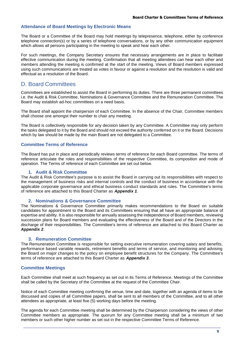### **Attendance of Board Meetings by Electronic Means**

The Board or a Committee of the Board may hold meetings by telepresence, telephone, either by conference telephone connection(s) or by a series of telephone conversations, or by any other communication equipment which allows all persons participating in the meeting to speak and hear each other.

For such meetings, the Company Secretary ensures that necessary arrangements are in place to facilitate effective communication during the meeting. Confirmation that all meeting attendees can hear each other and members attending the meeting is confirmed at the start of the meeting. Views of Board members expressed using such communications are treated as votes in favour or against a resolution and the resolution is valid and effectual as a resolution of the Board.

# D. Board Committees

Committees are established to assist the Board in performing its duties. There are three permanent committees i.e. the Audit & Risk Committee, Nominations & Governance Committee and the Remuneration Committee. The Board may establish ad-hoc committees on a need basis.

The Board shall appoint the chairperson of each Committee. In the absence of the Chair, Committee members shall choose one amongst their number to chair any meeting.

The Board is collectively responsible for any decision taken by any Committee. A Committee may only perform the tasks delegated to it by the Board and should not exceed the authority conferred on it or the Board. Decisions which by law should be made by the main Board are not delegated to a Committee.

### **Committee Terms of Reference**

The Board has put in place and periodically reviews terms of reference for each Board committee. The terms of reference articulate the roles and responsibilities of the respective Committee, its composition and mode of operation. The Terms of reference of each Committee are set out below.

#### **1. Audit & Risk Committee**

The Audit & Risk Committee's purpose is to assist the Board in carrying out its responsibilities with respect to the management of business risks and internal controls and the conduct of business in accordance with the applicable corporate governance and ethical business conduct standards and rules. The Committee's terms of reference are attached to this Board Charter as *Appendix 1*.

#### **2. Nominations & Governance Committee**

The Nominations & Governance Committee primarily makes recommendations to the Board on suitable candidates for appointment to the Board and its Committees ensuring that all have an appropriate balance of expertise and ability. It is also responsible for annually assessing the independence of Board members, reviewing succession plans for Board members and evaluating the effectiveness of the Board and of the Directors in the discharge of their responsibilities. The Committee's terms of reference are attached to this Board Charter as *Appendix 2*.

#### **3. Remuneration Committee**

The Remuneration Committee is responsible for setting executive remuneration covering salary and benefits, performance based variable rewards, retirement benefits and terms of service, and monitoring and advising the Board on major changes to the policy on employee benefit structures for the Company. The Committee's terms of reference are attached to this Board Charter as *Appendix 3*.

### **Committee Meetings**

Each Committee shall meet at such frequency as set out in its Terms of Reference. Meetings of the Committee shall be called by the Secretary of the Committee at the request of the Committee Chair.

Notice of each Committee meeting confirming the venue, time and date, together with an agenda of items to be discussed and copies of all Committee papers, shall be sent to all members of the Committee, and to all other attendees as appropriate, at least five (5) working days before the meeting.

The agenda for each Committee meeting shall be determined by the Chairperson considering the views of other Committee members as appropriate. The quorum for any Committee meeting shall be a minimum of two members or such other higher number as set out in the respective Committee Terms of Reference.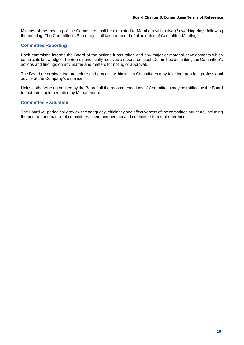Minutes of the meeting of the Committee shall be circulated to Members within five (5) working days following the meeting. The Committee's Secretary shall keep a record of all minutes of Committee Meetings.

### **Committee Reporting**

Each committee informs the Board of the actions it has taken and any major or material developments which come to its knowledge. The Board periodically receives a report from each Committee describing the Committee's actions and findings on any matter and matters for noting or approval.

The Board determines the procedure and process within which Committees may take independent professional advice at the Company's expense.

Unless otherwise authorised by the Board, all the recommendations of Committees may be ratified by the Board to facilitate implementation by Management.

### **Committee Evaluation**

The Board will periodically review the adequacy, efficiency and effectiveness of the committee structure, including the number and nature of committees, their membership and committee terms of reference.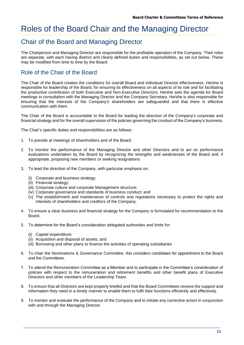# Roles of the Board Chair and the Managing Director

# Chair of the Board and Managing Director

The Chairperson and Managing Director are responsible for the profitable operation of the Company. Their roles are separate, with each having distinct and clearly defined duties and responsibilities, as set out below. These may be modified from time to time by the Board.

## Role of the Chair of the Board

The Chair of the Board creates the conditions for overall Board and individual Director effectiveness. He/she is responsible for leadership of the Board, for ensuring its effectiveness on all aspects of its role and for facilitating the productive contribution of both Executive and Non-Executive Directors. He/she sets the agenda for Board meetings in consultation with the Managing Director and the Company Secretary. He/she is also responsible for ensuring that the interests of the Company's shareholders are safeguarded and that there is effective communication with them.

The Chair of the Board is accountable to the Board for leading the direction of the Company's corporate and financial strategy and for the overall supervision of the policies governing the conduct of the Company's business.

The Chair's specific duties and responsibilities are as follows:

- 1. To preside at meetings of shareholders and of the Board.
- 2. To monitor the performance of the Managing Director and other Directors and to act on performance evaluations undertaken by the Board by recognizing the strengths and weaknesses of the Board and, if appropriate, proposing new members or seeking resignations.
- 3. To lead the direction of the Company, with particular emphasis on:
	- (i) Corporate and business strategy;
	- (ii) Financial strategy;
	- (iii) Corporate culture and corporate Management structure;
	- (iv) Corporate governance and standards of business conduct; and
	- (v) The establishment and maintenance of controls and regulations necessary to protect the rights and interests of shareholders and creditors of the Company.
- 4. To ensure a clear business and financial strategy for the Company is formulated for recommendation to the Board.
- 5. To determine for the Board's consideration delegated authorities and limits for:
	- (i) Capital expenditure;
	- (ii) Acquisition and disposal of assets; and
	- (iii) Borrowing and other plans to finance the activities of operating subsidiaries
- 6. To chair the Nominations & Governance Committee, this considers candidates for appointment to the Board and the Committees.
- 7. To attend the Remuneration Committee as a Member and to participate in the Committee's consideration of policies with respect to the remuneration and retirement benefits and other benefit plans of Executive Directors and other members of the Leadership Team.
- 8. To ensure that all Directors are kept properly briefed and that the Board Committees receive the support and information they need in a timely manner to enable them to fulfil their functions efficiently and effectively.
- 9. To monitor and evaluate the performance of the Company and to initiate any corrective action in conjunction with and through the Managing Director.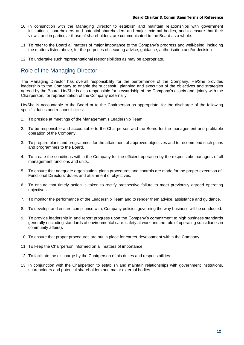#### **Board Charter & Committees Terms of Reference**

- 10. In conjunction with the Managing Director to establish and maintain relationships with government institutions, shareholders and potential shareholders and major external bodies, and to ensure that their views, and in particular those of shareholders, are communicated to the Board as a whole.
- 11. To refer to the Board all matters of major importance to the Company's progress and well-being, including the matters listed above, for the purposes of securing advice, guidance, authorisation and/or decision.
- 12. To undertake such representational responsibilities as may be appropriate.

## Role of the Managing Director

The Managing Director has overall responsibility for the performance of the Company. He/She provides leadership to the Company to enable the successful planning and execution of the objectives and strategies agreed by the Board. He/She is also responsible for stewardship of the Company's assets and, jointly with the Chairperson, for representation of the Company externally.

He/She is accountable to the Board or to the Chairperson as appropriate, for the discharge of the following specific duties and responsibilities:

- 1. To preside at meetings of the Management's Leadership Team.
- 2. To be responsible and accountable to the Chairperson and the Board for the management and profitable operation of the Company.
- 3. To prepare plans and programmes for the attainment of approved objectives and to recommend such plans and programmes to the Board.
- 4. To create the conditions within the Company for the efficient operation by the responsible managers of all management functions and units.
- 5. To ensure that adequate organisation, plans procedures and controls are made for the proper execution of Functional Directors' duties and attainment of objectives.
- 6. To ensure that timely action is taken to rectify prospective failure to meet previously agreed operating objectives.
- 7. To monitor the performance of the Leadership Team and to render them advice, assistance and guidance.
- 8. To develop, and ensure compliance with, Company policies governing the way business will be conducted.
- 9. To provide leadership in and report progress upon the Company's commitment to high business standards generally (including standards of environmental care, safety at work and the role of operating subsidiaries in community affairs).
- 10. To ensure that proper procedures are put in place for career development within the Company.
- 11. To keep the Chairperson informed on all matters of importance.
- 12. To facilitate the discharge by the Chairperson of his duties and responsibilities.
- 13. In conjunction with the Chairperson to establish and maintain relationships with government institutions, shareholders and potential shareholders and major external bodies.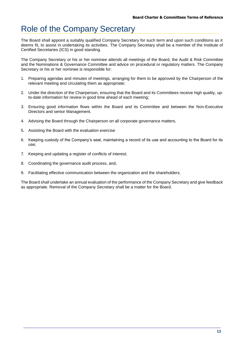# Role of the Company Secretary

The Board shall appoint a suitably qualified Company Secretary for such term and upon such conditions as it deems fit, to assist in undertaking its activities. The Company Secretary shall be a member of the Institute of Certified Secretaries (ICS) in good standing.

The Company Secretary or his or her nominee attends all meetings of the Board, the Audit & Risk Committee and the Nominations & Governance Committee and advice on procedural or regulatory matters. The Company Secretary or his or her nominee is responsible for:

- 1. Preparing agendas and minutes of meetings, arranging for them to be approved by the Chairperson of the relevant meeting and circulating them as appropriate;
- 2. Under the direction of the Chairperson, ensuring that the Board and its Committees receive high quality, upto-date information for review in good time ahead of each meeting;
- 3. Ensuring good information flows within the Board and its Committee and between the Non-Executive Directors and senior Management.
- 4. Advising the Board through the Chairperson on all corporate governance matters,
- 5. Assisting the Board with the evaluation exercise
- 6. Keeping custody of the Company's seal, maintaining a record of its use and accounting to the Board for its use;
- 7. Keeping and updating a register of conflicts of interest;
- 8. Coordinating the governance audit process, and,
- 9. Facilitating effective communication between the organization and the shareholders.

The Board shall undertake an annual evaluation of the performance of the Company Secretary and give feedback as appropriate. Removal of the Company Secretary shall be a matter for the Board.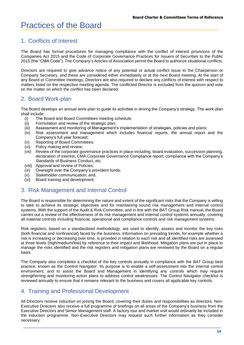# Practices of the Board

## 1. Conflicts of Interest

The Board has formal procedures for managing compliance with the conflict of interest provisions of the Companies Act 2015 and the Code of Corporate Governance Practices for Issuers of Securities to the Public 2015 (the "CMA Code"). The Company's Articles of Association permit the Board to authorize situational conflicts.

Directors are required to give advance notice of any potential or actual conflict issue to the Chairperson or Company Secretary, and these are considered either immediately or at the next Board meeting. At the start of any Board or Committee meetings, Directors are also required to declare any conflicts of interest with respect to matters listed on the respective meeting agenda. The conflicted Director is excluded from the quorum and vote on the matter on which the conflict has been declared.

# 2. Board Work-plan

The Board develops an annual work-plan to guide its activities in driving the Company's strategy. The work-plan shall include:

- (i) The Board and Board Committees meeting schedule;
- (ii) Formulation and review of the strategic plan;<br>(iii) Assessment and monitoring of Management'
- Assessment and monitoring of Management's implementation of strategies, policies and plans;
- (iv) Risk assessment and management which includes financial reports, the annual report and the Company's full year forecast;
- (v) Reporting of Board Committees;
- (vi) Policy making and review;
- (vii) Review of the corporate governance practices in place including, board evaluation, succession planning, declaration of interest, CMA Corporate Governance Compliance report, compliance with the Company's Standards of Business Conduct, etc.
- (viii) Approval and review of Policies;
- (ix) Oversight over the Company's provident funds;
- (x) Stakeholder communication; and,
- (xi) Board training and development.

### 3. Risk Management and Internal Control

The Board is responsible for determining the nature and extent of the significant risks that the Company is willing to take to achieve its strategic objectives and for maintaining sound risk management and internal control systems. With the support of the Audit & Risk Committee, and in line with the BAT Group Risk manual, the Board carries out a review of the effectiveness of its risk management and internal control systems annually, covering all material controls including financial, operational and compliance controls and risk management systems.

Risk registers, based on a standardised methodology, are used to identify, assess and monitor the key risks (both financial and nonfinancial) faced by the business. Information on prevailing trends, for example whether a risk is increasing or decreasing over time, is provided in relation to each risk and all identified risks are assessed at three levels (high/medium/low) by reference to their impact and likelihood. Mitigation plans are put in place to manage the risks identified and the risk registers and mitigation plans are reviewed by the Board on a regular basis.

The Company also completes a checklist of the key controls annually in compliance with the BAT Group best practice, known as the Control Navigator. Its purpose is to enable a self-assessment into the internal control environment, and to assist the Board and Management in identifying any controls which may require strengthening and monitoring action plans to address control weaknesses. The Control Navigator checklist is reviewed annually to ensure that it remains relevant to the business and covers all applicable key controls.

### 4. Training and Professional Development

All Directors receive induction on joining the Board, covering their duties and responsibilities as directors. Non-Executive Directors also receive a full programme of briefings on all areas of the Company's business from the Executive Directors and Senior Management staff. A factory tour and market visit would ordinarily be included in the induction programme. Non-Executive Directors may request such further information as they consider necessary.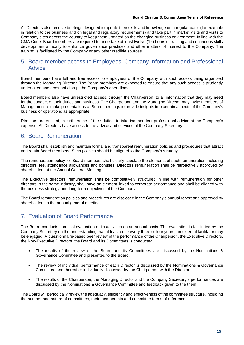#### **Board Charter & Committees Terms of Reference**

All Directors also receive briefings designed to update their skills and knowledge on a regular basis (for example in relation to the business and on legal and regulatory requirements) and take part in market visits and visits to Company sites across the country to keep them updated on the changing business environment. In line with the CMA Code, Board members are required to undertake at least twelve (12) hours of training and continuous skills development annually to enhance governance practices and other matters of interest to the Company. The training is facilitated by the Company or any other credible sources.

### 5. Board member access to Employees, Company Information and Professional Advice

Board members have full and free access to employees of the Company with such access being organised through the Managing Director. The Board members are expected to ensure that any such access is prudently undertaken and does not disrupt the Company's operations.

Board members also have unrestricted access, through the Chairperson, to all information that they may need for the conduct of their duties and business. The Chairperson and the Managing Director may invite members of Management to make presentations at Board meetings to provide insights into certain aspects of the Company's business or operations as appropriate.

Directors are entitled, in furtherance of their duties, to take independent professional advice at the Company's expense. All Directors have access to the advice and services of the Company Secretary.

### 6. Board Remuneration

The Board shall establish and maintain formal and transparent remuneration policies and procedures that attract and retain Board members. Such policies should be aligned to the Company's strategy.

The remuneration policy for Board members shall clearly stipulate the elements of such remuneration including directors' fee, attendance allowances and bonuses. Directors remuneration shall be retroactively approved by shareholders at the Annual General Meeting.

The Executive directors' remuneration shall be competitively structured in line with remuneration for other directors in the same industry, shall have an element linked to corporate performance and shall be aligned with the business strategy and long-term objectives of the Company.

The Board remuneration policies and procedures are disclosed in the Company's annual report and approved by shareholders in the annual general meeting.

# 7. Evaluation of Board Performance

The Board conducts a critical evaluation of its activities on an annual basis. The evaluation is facilitated by the Company Secretary on the understanding that at least once every three or four years, an external facilitator may be engaged. A questionnaire-based peer review of the performance of the Chairperson, the Executive Directors, the Non-Executive Directors, the Board and its Committees is conducted.

- The results of the review of the Board and its Committees are discussed by the Nominations & Governance Committee and presented to the Board.
- The review of individual performance of each Director is discussed by the Nominations & Governance Committee and thereafter individually discussed by the Chairperson with the Director.
- The results of the Chairperson, the Managing Director and the Company Secretary's performances are discussed by the Nominations & Governance Committee and feedback given to the them.

The Board will periodically review the adequacy, efficiency and effectiveness of the committee structure, including the number and nature of committees, their membership and committee terms of reference.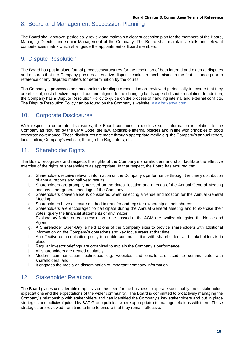### 8. Board and Management Succession Planning

The Board shall approve, periodically review and maintain a clear succession plan for the members of the Board, Managing Director and senior Management of the Company. The Board shall maintain a skills and relevant competencies matrix which shall guide the appointment of Board members.

## 9. Dispute Resolution

The Board has put in place formal processes/structures for the resolution of both internal and external disputes and ensures that the Company pursues alternative dispute resolution mechanisms in the first instance prior to reference of any disputed matters for determination by the courts.

The Company's processes and mechanisms for dispute resolution are reviewed periodically to ensure that they are efficient, cost effective, expeditious and aligned to the changing landscape of dispute resolution. In addition, the Company has a Dispute Resolution Policy to guide on the process of handling internal and external conflicts. The Dispute Resolution Policy can be found on the Company's website [www.batkenya.com.](http://www.batkenya.com/)

### 10. Corporate Disclosures

With respect to corporate disclosures, the Board continues to disclose such information in relation to the Company as required by the CMA Code, the law, applicable internal policies and in line with principles of good corporate governance. These disclosures are made through appropriate media e.g. the Company's annual report, local dailies, Company's website, through the Regulators, etc.

## 11. Shareholder Rights

The Board recognizes and respects the rights of the Company's shareholders and shall facilitate the effective exercise of the rights of shareholders as appropriate. In that respect, the Board has ensured that:

- a. Shareholders receive relevant information on the Company's performance through the timely distribution of annual reports and half year results;
- b. Shareholders are promptly advised on the dates, location and agenda of the Annual General Meeting and any other general meetings of the Company;
- c. Shareholders convenience is considered when selecting a venue and location for the Annual General Meeting;
- d. Shareholders have a secure method to transfer and register ownership of their shares;
- e. Shareholders are encouraged to participate during the Annual General Meeting and to exercise their votes, query the financial statements or any matter;
- f. Explanatory Notes on each resolution to be passed at the AGM are availed alongside the Notice and Agenda;
- g. A Shareholder Open-Day is held at one of the Company sites to provide shareholders with additional information on the Company's operations and key focus areas at that time;
- h. An effective communication policy to enable communication with shareholders and stakeholders is in place;
- i. Regular investor briefings are organized to explain the Company's performance;
- j. All shareholders are treated equitably;
- k. Modern communication techniques e.g. websites and emails are used to communicate with shareholders; and,
- l. It engages the media on dissemination of important company information.

### 12. Stakeholder Relations

The Board places considerable emphasis on the need for the business to operate sustainably, meet stakeholder expectations and the expectations of the wider community. The Board is committed to proactively managing the Company's relationship with stakeholders and has identified the Company's key stakeholders and put in place strategies and policies (guided by BAT Group policies, where appropriate) to manage relations with them. These strategies are reviewed from time to time to ensure that they remain effective.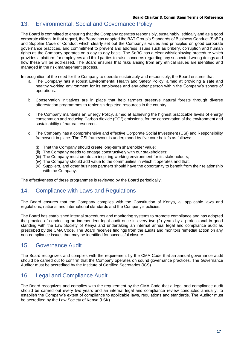### 13. Environmental, Social and Governance Policy

The Board is committed to ensuring that the Company operates responsibly, sustainably, ethically and as a good corporate citizen. In that regard, the Board has adopted the BAT Group's Standards of Business Conduct (SoBC) and Supplier Code of Conduct which clearly set out the Company's values and principles on good corporate governance practices, and commitment to prevent and address issues such as bribery, corruption and human rights as the Company operates on a day-to-day basis. The SoBC has a clear whistleblowing procedure which provides a platform for employees and third parties to raise concerns regarding any suspected wrong doings and how these will be addressed. The Board ensures that risks arising from any ethical issues are identified and managed in the risk management process.

In recognition of the need for the Company to operate sustainably and responsibly, the Board ensures that:

- a. The Company has a robust Environmental Health and Safety Policy, aimed at providing a safe and healthy working environment for its employees and any other person within the Company's sphere of operations.
- b. Conservation initiatives are in place that help farmers preserve natural forests through diverse afforestation programmes to replenish depleted resources in the country.
- c. The Company maintains an Energy Policy, aimed at achieving the highest practicable levels of energy conservation and reducing Carbon dioxide (CO<sup>2</sup>) emissions, for the conservation of the environment and sustainability of natural resources.
- d. The Company has a comprehensive and effective Corporate Social Investment (CSI) and Responsibility framework in place. The CSI framework is underpinned by five core beliefs as follows:
	- (i) That the Company should create long-term shareholder value;
	- (ii) The Company needs to engage constructively with our stakeholders;
	- (iii) The Company must create an inspiring working environment for its stakeholders;
	- (iv) The Company should add value to the communities in which it operates and that;
	- (v) Suppliers, and other business partners should have the opportunity to benefit from their relationship with the Company.

The effectiveness of these programmes is reviewed by the Board periodically.

### 14. Compliance with Laws and Regulations

The Board ensures that the Company complies with the Constitution of Kenya, all applicable laws and regulations, national and international standards and the Company's policies.

The Board has established internal procedures and monitoring systems to promote compliance and has adopted the practice of conducting an independent legal audit once in every two (2) years by a professional in good standing with the Law Society of Kenya and undertaking an internal annual legal and compliance audit as prescribed by the CMA Code. The Board receives findings from the audits and monitors remedial action on any non-compliance issues that may be identified for successful closure.

### 15. Governance Audit

The Board recognizes and complies with the requirement by the CMA Code that an annual governance audit should be carried out to confirm that the Company operates on sound governance practices. The Governance Auditor must be accredited by the Institute of Certified Secretaries (ICS).

### 16. Legal and Compliance Audit

The Board recognizes and complies with the requirement by the CMA Code that a legal and compliance audit should be carried out every two years and an internal legal and compliance review conducted annually, to establish the Company's extent of compliance to applicable laws, regulations and standards. The Auditor must be accredited by the Law Society of Kenya (LSK).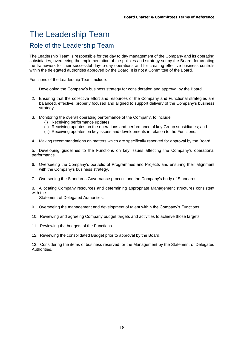# The Leadership Team

# Role of the Leadership Team

The Leadership Team is responsible for the day to day management of the Company and its operating subsidiaries, overseeing the implementation of the policies and strategy set by the Board, for creating the framework for their successful day-to-day operations and for creating effective business controls within the delegated authorities approved by the Board. It is not a Committee of the Board.

Functions of the Leadership Team include:

- 1. Developing the Company's business strategy for consideration and approval by the Board.
- 2. Ensuring that the collective effort and resources of the Company and Functional strategies are balanced, effective, properly focused and aligned to support delivery of the Company's business strategy.
- 3. Monitoring the overall operating performance of the Company, to include:
	- (i) Receiving performance updates;
	- (ii) Receiving updates on the operations and performance of key Group subsidiaries; and
	- (iii) Receiving updates on key issues and developments in relation to the Functions.
- 4. Making recommendations on matters which are specifically reserved for approval by the Board.

5. Developing guidelines to the Functions on key issues affecting the Company's operational performance.

- 6. Overseeing the Company's portfolio of Programmes and Projects and ensuring their alignment with the Company's business strategy.
- 7. Overseeing the Standards Governance process and the Company's body of Standards.

8. Allocating Company resources and determining appropriate Management structures consistent with the

Statement of Delegated Authorities.

- 9. Overseeing the management and development of talent within the Company's Functions.
- 10. Reviewing and agreeing Company budget targets and activities to achieve those targets.
- 11. Reviewing the budgets of the Functions.
- 12. Reviewing the consolidated Budget prior to approval by the Board.

13. Considering the items of business reserved for the Management by the Statement of Delegated Authorities.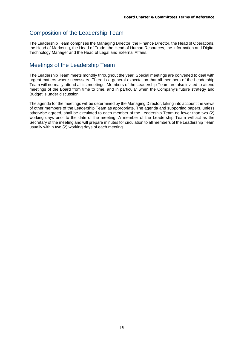### Composition of the Leadership Team

The Leadership Team comprises the Managing Director, the Finance Director, the Head of Operations, the Head of Marketing, the Head of Trade, the Head of Human Resources, the Information and Digital Technology Manager and the Head of Legal and External Affairs.

### Meetings of the Leadership Team

The Leadership Team meets monthly throughout the year. Special meetings are convened to deal with urgent matters where necessary. There is a general expectation that all members of the Leadership Team will normally attend all its meetings. Members of the Leadership Team are also invited to attend meetings of the Board from time to time, and in particular when the Company's future strategy and Budget is under discussion.

The agenda for the meetings will be determined by the Managing Director, taking into account the views of other members of the Leadership Team as appropriate. The agenda and supporting papers, unless otherwise agreed, shall be circulated to each member of the Leadership Team no fewer than two (2) working days prior to the date of the meeting. A member of the Leadership Team will act as the Secretary of the meeting and will prepare minutes for circulation to all members of the Leadership Team usually within two (2) working days of each meeting.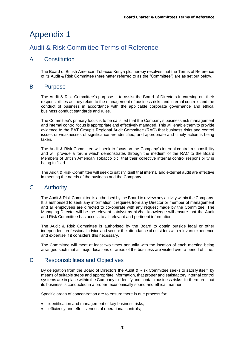# Appendix 1

# Audit & Risk Committee Terms of Reference

### A Constitution

The Board of British American Tobacco Kenya plc. hereby resolves that the Terms of Reference of its Audit & Risk Committee (hereinafter referred to as the "Committee") are as set out below.

### B Purpose

The Audit & Risk Committee's purpose is to assist the Board of Directors in carrying out their responsibilities as they relate to the management of business risks and internal controls and the conduct of business in accordance with the applicable corporate governance and ethical business conduct standards and rules.

The Committee's primary focus is to be satisfied that the Company's business risk management and internal control focus is appropriate and effectively managed. This will enable them to provide evidence to the BAT Group's Regional Audit Committee (RAC) that business risks and control issues or weaknesses of significance are identified, and appropriate and timely action is being taken.

The Audit & Risk Committee will seek to focus on the Company's internal control responsibility and will provide a forum which demonstrates through the medium of the RAC to the Board Members of British American Tobacco plc. that their collective internal control responsibility is being fulfilled.

The Audit & Risk Committee will seek to satisfy itself that internal and external audit are effective in meeting the needs of the business and the Company.

### C Authority

The Audit & Risk Committee is authorised by the Board to review any activity within the Company. It is authorised to seek any information it requires from any Director or member of management and all employees are directed to co-operate with any request made by the Committee. The Managing Director will be the relevant catalyst as his/her knowledge will ensure that the Audit and Risk Committee has access to all relevant and pertinent information.

The Audit & Risk Committee is authorised by the Board to obtain outside legal or other independent professional advice and secure the attendance of outsiders with relevant experience and expertise if it considers this necessary.

The Committee will meet at least two times annually with the location of each meeting being arranged such that all major locations or areas of the business are visited over a period of time.

### D Responsibilities and Objectives

By delegation from the Board of Directors the Audit & Risk Committee seeks to satisfy itself, by means of suitable steps and appropriate information, that proper and satisfactory internal control systems are in place within the Company to identify and contain business risks: furthermore, that its business is conducted in a proper, economically sound and ethical manner.

Specific areas of concentration are to ensure there is due process for:

- identification and management of key business risks;
- efficiency and effectiveness of operational controls: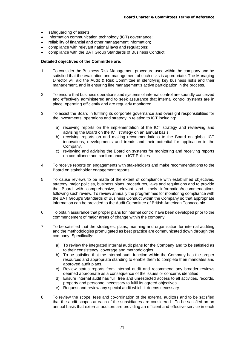- safeguarding of assets;
- Information communication technology (ICT) governance;
- reliability of financial and other management information;
- compliance with relevant national laws and regulations;
- compliance with the BAT Group Standards of Business Conduct.

#### **Detailed objectives of the Committee are:**

- 1. To consider the Business Risk Management procedure used within the company and be satisfied that the evaluation and management of such risks is appropriate. The Managing Director will aid the Audit & Risk Committee in identifying key business risks and their management, and in ensuring line management's active participation in the process.
- 2. To ensure that business operations and systems of internal control are soundly conceived and effectively administered and to seek assurance that internal control systems are in place, operating efficiently and are regularly monitored.
- 3. To assist the Board in fulfilling its corporate governance and oversight responsibilities for the investments, operations and strategy in relation to ICT including:
	- a) receiving reports on the implementation of the ICT strategy and reviewing and advising the Board on the ICT strategy on an annual basis.
	- b) receiving reports on and making recommendations to the Board on global ICT innovations, developments and trends and their potential for application in the Company.
	- c) reviewing and advising the Board on systems for monitoring and receiving reports on compliance and conformance to ICT Policies.
- 4. To receive reports on engagements with stakeholders and make recommendations to the Board on stakeholder engagement reports.
- 5. To cause reviews to be made of the extent of compliance with established objectives, strategy, major policies, business plans, procedures, laws and regulations and to provide the Board with comprehensive, relevant and timely information/recommendations following such review. To review annually the programmes for monitoring compliance with the BAT Group's Standards of Business Conduct within the Company so that appropriate information can be provided to the Audit Committee of British American Tobacco plc.
- 6. To obtain assurance that proper plans for internal control have been developed prior to the commencement of major areas of change within the company.
- 7. To be satisfied that the strategies, plans, manning and organisation for internal auditing and the methodologies promulgated as best practice are communicated down through the company. Specifically:
	- a) To review the integrated internal audit plans for the Company and to be satisfied as to their consistency, coverage and methodologies
	- b) To be satisfied that the internal audit function within the Company has the proper resources and appropriate standing to enable them to complete their mandates and approved audit plans.
	- c) Review status reports from internal audit and recommend any broader reviews deemed appropriate as a consequence of the issues or concerns identified.
	- d) Ensure internal audit has full, free and unrestricted access to all activities, records, property and personnel necessary to fulfil its agreed objectives.
	- e) Request and review any special audit which it deems necessary.
- 8. To review the scope, fees and co-ordination of the external auditors and to be satisfied that the audit scopes at each of the subsidiaries are considered. To be satisfied on an annual basis that external auditors are providing an efficient and effective service in each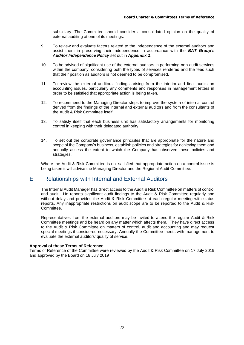subsidiary. The Committee should consider a consolidated opinion on the quality of external auditing at one of its meetings.

- 9. To review and evaluate factors related to the independence of the external auditors and assist them in preserving their independence in accordance with the *BAT Group's Auditor Independence Policy* set out in *Appendix 1*.
- 10. To be advised of significant use of the external auditors in performing non-audit services within the company, considering both the types of services rendered and the fees such that their position as auditors is not deemed to be compromised.
- 11. To review the external auditors' findings arising from the interim and final audits on accounting issues, particularly any comments and responses in management letters in order to be satisfied that appropriate action is being taken.
- 12. To recommend to the Managing Director steps to improve the system of internal control derived from the findings of the internal and external auditors and from the consultants of the Audit & Risk Committee itself.
- 13. To satisfy itself that each business unit has satisfactory arrangements for monitoring control in keeping with their delegated authority.
- 14. To set out the corporate governance principles that are appropriate for the nature and scope of the Company's business, establish policies and strategies for achieving them and annually assess the extent to which the Company has observed these policies and strategies.

Where the Audit & Risk Committee is not satisfied that appropriate action on a control issue is being taken it will advise the Managing Director and the Regional Audit Committee.

### E Relationships with Internal and External Auditors

The Internal Audit Manager has direct access to the Audit & Risk Committee on matters of control and audit. He reports significant audit findings to the Audit & Risk Committee regularly and without delay and provides the Audit & Risk Committee at each regular meeting with status reports. Any inappropriate restrictions on audit scope are to be reported to the Audit & Risk Committee.

Representatives from the external auditors may be invited to attend the regular Audit & Risk Committee meetings and be heard on any matter which affects them. They have direct access to the Audit & Risk Committee on matters of control, audit and accounting and may request special meetings if considered necessary. Annually the Committee meets with management to evaluate the external auditors' quality of service.

#### **Approval of these Terms of Reference**

Terms of Reference of the Committee were reviewed by the Audit & Risk Committee on 17 July 2019 and approved by the Board on 18 July 2019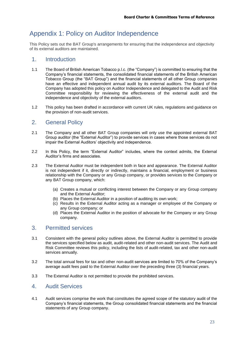# Appendix 1: Policy on Auditor Independence

This Policy sets out the BAT Group's arrangements for ensuring that the independence and objectivity of its external auditors are maintained.

### 1. Introduction

- 1.1 The Board of British American Tobacco p.l.c. (the "Company") is committed to ensuring that the Company's financial statements, the consolidated financial statements of the British American Tobacco Group (the "BAT Group") and the financial statements of all other Group companies have an effective and independent annual audit by its external auditors. The Board of the Company has adopted this policy on Auditor Independence and delegated to the Audit and Risk Committee responsibility for reviewing the effectiveness of the external audit and the independence and objectivity of the external auditors.
- 1.2 This policy has been drafted in accordance with current UK rules, regulations and guidance on the provision of non-audit services.

### 2. General Policy

- 2.1 The Company and all other BAT Group companies will only use the appointed external BAT Group auditor (the "External Auditor") to provide services in cases where those services do not impair the External Auditors' objectivity and independence.
- 2.2 In this Policy, the term "External Auditor" includes, where the context admits, the External Auditor's firms and associates.
- 2.3 The External Auditor must be independent both in face and appearance. The External Auditor is not independent if it, directly or indirectly, maintains a financial, employment or business relationship with the Company or any Group company, or provides services to the Company or any BAT Group company, which:
	- (a) Creates a mutual or conflicting interest between the Company or any Group company and the External Auditor;
	- (b) Places the External Auditor in a position of auditing its own work;
	- (c) Results in the External Auditor acting as a manager or employee of the Company or any Group company; or
	- (d) Places the External Auditor in the position of advocate for the Company or any Group company.

### 3. Permitted services

- 3.1 Consistent with the general policy outlines above, the External Auditor is permitted to provide the services specified below as audit, audit-related and other non-audit services. The Audit and Risk Committee reviews this policy, including the lists of audit-related, tax and other non-audit services annually.
- 3.2 The total annual fees for tax and other non-audit services are limited to 70% of the Company's average audit fees paid to the External Auditor over the preceding three (3) financial years.
- 3.3 The External Auditor is not permitted to provide the prohibited services.

### 4. Audit Services

4.1 Audit services comprise the work that constitutes the agreed scope of the statutory audit of the Company's financial statements, the Group consolidated financial statements and the financial statements of any Group company.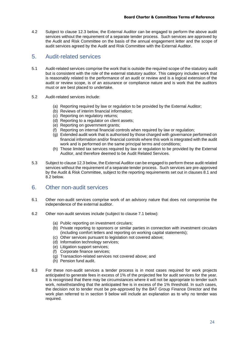4.2 Subject to clause 12.3 below, the External Auditor can be engaged to perform the above audit services without the requirement of a separate tender process. Such services are approved by the Audit and Risk Committee on the basis of the annual engagement letter and the scope of audit services agreed by the Audit and Risk Committee with the External Auditor.

### 5. Audit-related services

- 5.1 Audit-related services comprise the work that is outside the required scope of the statutory audit but is consistent with the role of the external statutory auditor. This category includes work that is reasonably related to the performance of an audit or review and is a logical extension of the audit or review scope, is of an assurance or compliance nature and is work that the auditors must or are best placed to undertake.
- 5.2 Audit-related services include:
	- (a) Reporting required by law or regulation to be provided by the External Auditor;
	- (b) Reviews of interim financial information;
	- (c) Reporting on regulatory returns;
	- (d) Reporting to a regulator on client assets;
	- (e) Reporting on government grants;
	- (f) Reporting on internal financial controls when required by law or regulation;
	- (g) Extended audit work that is authorised by those charged with governance performed on financial information and/or financial controls where this work is integrated with the audit work and is performed on the same principal terms and conditions;
	- (h) Those limited tax services required by law or regulation to be provided by the External Auditor, and therefore deemed to be Audit Related Services.
- 5.3 Subject to clause 12.3 below, the External Auditor can be engaged to perform these audit related services without the requirement of a separate tender process. Such services are pre-approved by the Audit & Risk Committee, subject to the reporting requirements set out in clauses 8.1 and 8.2 below.

### 6. Other non-audit services

- 6.1 Other non-audit services comprise work of an advisory nature that does not compromise the independence of the external auditor.
- 6.2 Other non-audit services include (subject to clause 7.1 below):
	- (a) Public reporting on investment circulars;
	- (b) Private reporting to sponsors or similar parties in connection with investment circulars (including comfort letters and reporting on working capital statements);
	- (c) Other services pursuant to legislation not covered above;
	- (d) Information technology services;
	- (e) Litigation support services;
	- (f) Corporate finance services;
	- (g) Transaction-related services not covered above; and
	- (h) Pension fund audit.
- 6.3 For these non-audit services a tender process is in most cases required for work projects anticipated to generate fees in excess of 1% of the projected fee for audit services for the year. It is recognised that there may be circumstances where it will not be appropriate to tender such work, notwithstanding that the anticipated fee is in excess of the 1% threshold. In such cases, the decision not to tender must be pre-approved by the BAT Group Finance Director and the work plan referred to in section 9 below will include an explanation as to why no tender was required.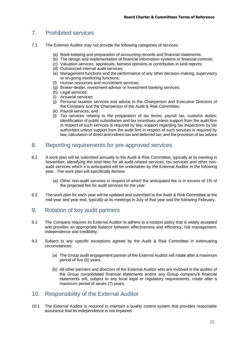# 7. Prohibited services

- 7.1 The External Auditor may not provide the following categories of services:
	- (a) Book-keeping and preparation of accounting records and financial statements;
		- (b) The design and implementation of financial information systems or financial controls;
	- (c) Valuation services, appraisals, fairness opinions or contribution in kind reports;
	- (d) Outsourced internal audit services;
	- (e) Management functions and the performance of any other decision-making, supervisory or on-going monitoring functions;
	- (f) Human resources and recruitment services;
	- (g) Broker-dealer, investment advisor or investment banking services;
	- (h) Legal services;
	- (i) Actuarial services;
	- (j) Personal taxation services and advice to the Chairperson and Executive Directors of the Company and the Chairperson of the Audit & Risk Committee;
	- (k) Payroll services; and
	- (l) Tax services relating to the preparation of tax forms; payroll tax, customs duties; identification of public subsidiaries and tax incentives unless support from the audit firm in respect of such services is required by law; support regarding tax inspections by tax authorities unless support from the audit firm in respect of such services is required by law; calculation of direct and indirect tax and deferred tax; and the provision of tax advice

### 8. Reporting requirements for pre-approved services

- 8.1 A work plan will be submitted annually to the Audit & Risk Committee, typically at its meeting in November, identifying the total fees for all audit-related services, tax services and other nonaudit services which it is anticipated will be undertaken by the External Auditor in the following year. The work plan will specifically itemise:
	- (a) Other non-audit services in respect of which the anticipated fee is in excess of 1% of the projected fee for audit services for the year.
- 8.2 The work plan for each year will be updated and submitted to the Audit & Risk Committee at the mid-year and year end, typically at its meetings in July of that year and the following February.

### 9. Rotation of key audit partners

- 9.1 The Company requires its External Auditor to adhere to a rotation policy that is widely accepted and provides an appropriate balance between effectiveness and efficiency, risk management, independence and credibility.
- 9.2 Subject to any specific exceptions agreed by the Audit & Risk Committee in extenuating circumstances:
	- (a) The Group audit engagement partner of the External Auditor will rotate after a maximum period of five (5) years.
	- (b) All other partners and directors of the External Auditor who are involved in the auditor of the Group consolidated financial statements and/or any Group company's financial statements will, subject to any local legal or regulatory requirements, rotate after a maximum period of seven (7) years.

### 10. Responsibility of the External Auditor

10.1 The External Auditor is required to maintain a quality control system that provides reasonable assurance that its independence is not impaired.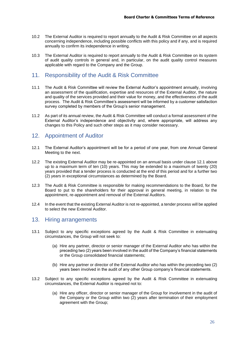- 10.2 The External Auditor is required to report annually to the Audit & Risk Committee on all aspects concerning independence, including possible conflicts with this policy and if any, and is required annually to confirm its independence in writing.
- 10.3 The External Auditor is required to report annually to the Audit & Risk Committee on its system of audit quality controls in general and, in particular, on the audit quality control measures applicable with regard to the Company and the Group.

### 11. Responsibility of the Audit & Risk Committee

- 11.1 The Audit & Risk Committee will review the External Auditor's appointment annually, involving an assessment of the qualification, expertise and resources of the External Auditor, the nature and quality of the services provided and their value for money, and the effectiveness of the audit process. The Audit & Risk Committee's assessment will be informed by a customer satisfaction survey completed by members of the Group's senior management.
- 11.2 As part of its annual review, the Audit & Risk Committee will conduct a formal assessment of the External Auditor's independence and objectivity and, where appropriate, will address any changes to this Policy and such other steps as it may consider necessary.

### 12. Appointment of Auditor

- 12.1 The External Auditor's appointment will be for a period of one year, from one Annual General Meeting to the next.
- 12.2 The existing External Auditor may be re-appointed on an annual basis under clause 12.1 above up to a maximum term of ten (10) years. This may be extended to a maximum of twenty (20) years provided that a tender process is conducted at the end of this period and for a further two (2) years in exceptional circumstances as determined by the Board.
- 12.3 The Audit & Risk Committee is responsible for making recommendations to the Board, for the Board to put to the shareholders for their approval in general meeting, in relation to the appointment, re-appointment and removal of the External Auditors.
- 12.4 In the event that the existing External Auditor is not re-appointed, a tender process will be applied to select the new External Auditor.

### 13. Hiring arrangements

- 13.1 Subject to any specific exceptions agreed by the Audit & Risk Committee in extenuating circumstances, the Group will not seek to:
	- (a) Hire any partner, director or senior manager of the External Auditor who has within the preceding two (2) years been involved in the audit of the Company's financial statements or the Group consolidated financial statements;
	- (b) Hire any partner or director of the External Auditor who has within the preceding two (2) years been involved in the audit of any other Group company's financial statements.
- 13.2 Subject to any specific exceptions agreed by the Audit & Risk Committee in extenuating circumstances, the External Auditor is required not to:
	- (a) Hire any officer, director or senior manager of the Group for involvement in the audit of the Company or the Group within two (2) years after termination of their employment agreement with the Group;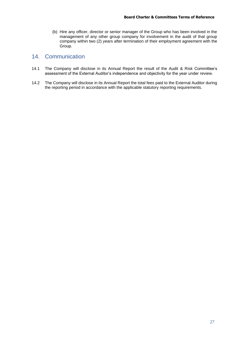(b) Hire any officer, director or senior manager of the Group who has been involved in the management of any other group company for involvement in the audit of that group company within two (2) years after termination of their employment agreement with the Group.

### 14. Communication

- 14.1 The Company will disclose in its Annual Report the result of the Audit & Risk Committee's assessment of the External Auditor's independence and objectivity for the year under review.
- 14.2 The Company will disclose in its Annual Report the total fees paid to the External Auditor during the reporting period in accordance with the applicable statutory reporting requirements.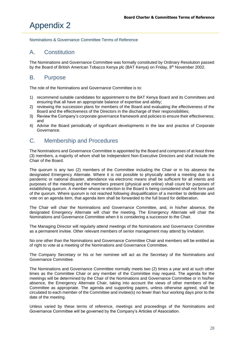# Appendix 2

Nominations & Governance Committee Terms of Reference

## A. Constitution

The Nominations and Governance Committee was formally constituted by Ordinary Resolution passed by the Board of British American Tobacco Kenya plc (BAT Kenya) on Friday, 8<sup>th</sup> November 2002.

## B. Purpose

The role of the Nominations and Governance Committee is to:

- 1) recommend suitable candidates for appointment to the BAT Kenya Board and its Committees and ensuring that all have an appropriate balance of expertise and ability;
- 2) reviewing the succession plans for members of the Board and evaluating the effectiveness of the Board and the effectiveness of the Directors in the discharge of their responsibilities;
- 3) Review the Company's corporate governance framework and policies to ensure their effectiveness; and
- 4) Advise the Board periodically of significant developments in the law and practice of Corporate Governance.

## C. Membership and Procedures

The Nominations and Governance Committee is appointed by the Board and comprises of at least three (3) members, a majority of whom shall be Independent Non-Executive Directors and shall include the Chair of the Board.

The quorum is any two (2) members of the Committee including the Chair or in his absence the designated Emergency Alternate. Where it is not possible to physically attend a meeting due to a pandemic or national disaster, attendance via electronic means shall be sufficient for all intents and purposes of the meeting and the members present (physical and online) shall count for purposes of establishing quorum. A member whose re-election to the Board is being considered shall not form part of the quorum. Where quorum is not reached following disqualification of a member to deliberate and vote on an agenda item, that agenda item shall be forwarded to the full board for deliberation.

The Chair will chair the Nominations and Governance Committee, and, in his/her absence, the designated Emergency Alternate will chair the meeting. The Emergency Alternate will chair the Nominations and Governance Committee when it is considering a successor to the Chair.

The Managing Director will regularly attend meetings of the Nominations and Governance Committee as a permanent invitee. Other relevant members of senior management may attend by invitation.

No one other than the Nominations and Governance Committee Chair and members will be entitled as of right to vote at a meeting of the Nominations and Governance Committee.

The Company Secretary or his or her nominee will act as the Secretary of the Nominations and Governance Committee.

The Nominations and Governance Committee normally meets two (2) times a year and at such other times as the Committee Chair or any member of the Committee may request. The agenda for the meetings will be determined by the Chair of the Nominations and Governance Committee or in his/her absence, the Emergency Alternate Chair, taking into account the views of other members of the Committee as appropriate. The agenda and supporting papers, unless otherwise agreed, shall be circulated to each member of the Committee and invitee(s) no fewer than four working days prior to the date of the meeting.

Unless varied by these terms of reference, meetings and proceedings of the Nominations and Governance Committee will be governed by the Company's Articles of Association.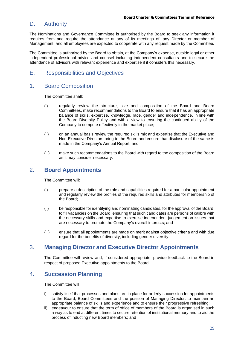### D. Authority

The Nominations and Governance Committee is authorised by the Board to seek any information it requires from and require the attendance at any of its meetings of, any Director or member of Management, and all employees are expected to cooperate with any request made by the Committee.

The Committee is authorised by the Board to obtain, at the Company's expense, outside legal or other independent professional advice and counsel including independent consultants and to secure the attendance of advisors with relevant experience and expertise if it considers this necessary.

### E. Responsibilities and Objectives

### 1. Board Composition

The Committee shall:

- (i) regularly review the structure, size and composition of the Board and Board Committees, make recommendations to the Board to ensure that it has an appropriate balance of skills, expertise, knowledge, race, gender and independence, in line with the Board Diversity Policy and with a view to ensuring the continued ability of the Company to compete effectively in the market place;
- (ii) on an annual basis review the required skills mix and expertise that the Executive and Non-Executive Directors bring to the Board and ensure that disclosure of the same is made in the Company's Annual Report; and
- (iii) make such recommendations to the Board with regard to the composition of the Board as it may consider necessary.

### 2. **Board Appointments**

The Committee will:

- (i) prepare a description of the role and capabilities required for a particular appointment and regularly review the profiles of the required skills and attributes for membership of the Board;
- (ii) be responsible for identifying and nominating candidates, for the approval of the Board, to fill vacancies on the Board, ensuring that such candidates are persons of calibre with the necessary skills and expertise to exercise independent judgement on issues that are necessary to promote the Company's overall interests; and
- (iii) ensure that all appointments are made on merit against objective criteria and with due regard for the benefits of diversity, including gender diversity.

### 3. **Managing Director and Executive Director Appointments**

The Committee will review and, if considered appropriate, provide feedback to the Board in respect of proposed Executive appointments to the Board.

### 4**. Succession Planning**

The Committee will

- i) satisfy itself that processes and plans are in place for orderly succession for appointments to the Board, Board Committees and the position of Managing Director, to maintain an appropriate balance of skills and experience and to ensure their progressive refreshing;
- ii) endeavour to ensure that the term of office of members of the Board is organised in such a way as to end at different times to secure retention of institutional memory and to aid the process of inducting new Board members; and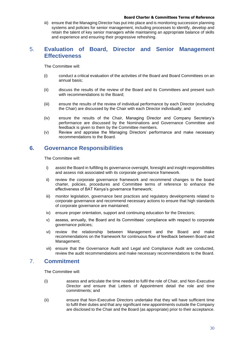#### **Board Charter & Committees Terms of Reference**

iii) ensure that the Managing Director has put into place and is monitoring succession planning systems and policies for senior management, including processes to identify, develop and retain the talent of key senior managers while maintaining an appropriate balance of skills and experience and ensuring their progressive refreshing.

### 5. **Evaluation of Board, Director and Senior Management Effectiveness**

The Committee will:

- (i) conduct a critical evaluation of the activities of the Board and Board Committees on an annual basis;
- (ii) discuss the results of the review of the Board and its Committees and present such with recommendations to the Board;
- (iii) ensure the results of the review of individual performance by each Director (excluding the Chair) are discussed by the Chair with each Director individually; and
- (iv) ensure the results of the Chair, Managing Director and Company Secretary's performance are discussed by the Nominations and Governance Committee and feedback is given to them by the Committee members.
- (v) Review and appraise the Managing Directors' performance and make necessary recommendations to the Board.

### **6. Governance Responsibilities**

The Committee will:

- i) assist the Board in fulfilling its governance oversight, foresight and insight responsibilities and assess risk associated with its corporate governance framework.
- ii) review the corporate governance framework and recommend changes to the board charter, policies, procedures and Committee terms of reference to enhance the effectiveness of BAT Kenya's governance framework;
- iii) monitor legislation, governance best practices and regulatory developments related to corporate governance and recommend necessary actions to ensure that high standards of corporate governance are maintained;
- iv) ensure proper orientation, support and continuing education for the Directors;
- v) assess, annually, the Board and its Committees' compliance with respect to corporate governance policies;
- vi) review the relationship between Management and the Board and make recommendations on the framework for continuous flow of feedback between Board and Management;
- vii) ensure that the Governance Audit and Legal and Compliance Audit are conducted, review the audit recommendations and make necessary recommendations to the Board.

### 7. **Commitment**

The Committee will:

- (i) assess and articulate the time needed to fulfil the role of Chair, and Non-Executive Director and ensure that Letters of Appointment detail the role and time commitments; and
- (ii) ensure that Non-Executive Directors undertake that they will have sufficient time to fulfil their duties and that any significant new appointments outside the Company are disclosed to the Chair and the Board (as appropriate) prior to their acceptance.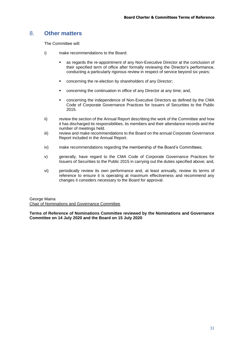### 8. **Other matters**

The Committee will:

- i) make recommendations to the Board:
	- **EXECUTE:** as regards the re-appointment of any Non-Executive Director at the conclusion of their specified term of office after formally reviewing the Director's performance, conducting a particularly rigorous review in respect of service beyond six years;
	- concerning the re-election by shareholders of any Director;
	- concerning the continuation in office of any Director at any time; and,
	- concerning the independence of Non-Executive Directors as defined by the CMA Code of Corporate Governance Practices for Issuers of Securities to the Public 2015.
- ii) review the section of the Annual Report describing the work of the Committee and how it has discharged its responsibilities, its members and their attendance records and the number of meetings held.
- iii) review and make recommendations to the Board on the annual Corporate Governance Report included in the Annual Report.
- iv) make recommendations regarding the membership of the Board's Committees;
- v) generally, have regard to the CMA Code of Corporate Governance Practices for Issuers of Securities to the Public 2015 in carrying out the duties specified above; and,
- vi) periodically review its own performance and, at least annually, review its terms of reference to ensure it is operating at maximum effectiveness and recommend any changes it considers necessary to the Board for approval.

George Maina Chair of Nominations and Governance Committee

**Terms of Reference of Nominations Committee reviewed by the Nominations and Governance Committee on 14 July 2020 and the Board on 15 July 2020**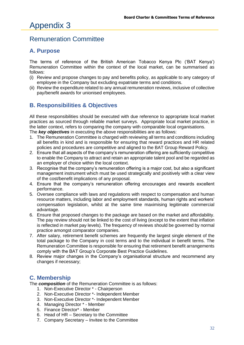# Remuneration Committee

## **A. Purpose**

The terms of reference of the British American Tobacco Kenya Plc ('BAT Kenya') Remuneration Committee within the context of the local market, can be summarised as follows:

- (i) Review and propose changes to pay and benefits policy, as applicable to any category of employee in the Company but excluding expatriate terms and conditions.
- (ii) Review the expenditure related to any annual remuneration reviews, inclusive of collective pay/benefit awards for unionised employees.

## **B. Responsibilities & Objectives**

All these responsibilities should be executed with due reference to appropriate local market practices as sourced through reliable market surveys. Appropriate local market practice, in the latter context, refers to comparing the company with comparable local organisations.

The *key objectives* in executing the above responsibilities are as follows:

- 1. The Remuneration Committee is charged with reviewing all terms and conditions including all benefits in kind and is responsible for ensuring that reward practices and HR related policies and procedures are competitive and aligned to the BAT Group Reward Policy.
- 2. Ensure that all aspects of the company's remuneration offering are sufficiently competitive to enable the Company to attract and retain an appropriate talent pool and be regarded as an employer of choice within the local context.
- 3. Recognise that the company's remuneration offering is a major cost, but also a significant management instrument which must be used strategically and positively with a clear view of the cost/benefit implications of any proposal.
- 4. Ensure that the company's remuneration offering encourages and rewards excellent performance.
- 5. Oversee compliance with laws and regulations with respect to compensation and human resource matters, including labor and employment standards, human rights and workers' compensation legislation, whilst at the same time maximising legitimate commercial advantage.
- 6. Ensure that proposed changes to the package are based on the market and affordability. The pay review should not be linked to the cost of living (except to the extent that inflation is reflected in market pay levels). The frequency of reviews should be governed by normal practice amongst comparator companies.
- 7. After salary, retirement benefit schemes are frequently the largest single element of the total package to the Company in cost terms and to the individual in benefit terms. The Remuneration Committee is responsible for ensuring that retirement benefit arrangements comply with the BAT Group's Corporate Best Practice Guidelines.
- 8. Review major changes in the Company's organisational structure and recommend any changes if necessary;

### **C. Membership**

The *composition* of the Remuneration Committee is as follows:

- 1. Non-Executive Director \* Chairperson
- 2. Non-Executive Director \*- Independent Member
- 3. Non-Executive Director \*- Independent Member
- 4. Managing Director \* Member
- 5. Finance Director\* Member
- 6. Head of HR Secretary to the Committee
- 7. Company Secretary Invitee to the Committee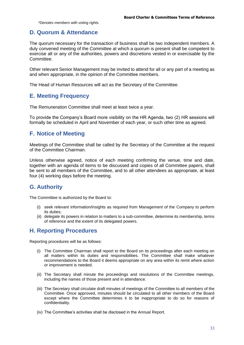*\*Denotes members with voting rights.* 

# **D. Quorum & Attendance**

The quorum necessary for the transaction of business shall be two independent members. A duly convened meeting of the Committee at which a quorum is present shall be competent to exercise all or any of the authorities, powers and discretions vested in or exercisable by the Committee.

Other relevant Senior Management may be invited to attend for all or any part of a meeting as and when appropriate, in the opinion of the Committee members.

The Head of Human Resources will act as the Secretary of the Committee.

## **E. Meeting Frequency**

The Remuneration Committee shall meet at least twice a year.

To provide the Company's Board more visibility on the HR Agenda, two (2) HR sessions will formally be scheduled in April and November of each year, or such other time as agreed.

# **F. Notice of Meeting**

Meetings of the Committee shall be called by the Secretary of the Committee at the request of the Committee Chairman.

Unless otherwise agreed, notice of each meeting confirming the venue, time and date, together with an agenda of items to be discussed and copies of all Committee papers, shall be sent to all members of the Committee, and to all other attendees as appropriate, at least four (4) working days before the meeting.

# **G. Authority**

The Committee is authorized by the Board to:

- (i) seek relevant information/insights as required from Management of the Company to perform its duties;
- (ii) delegate its powers in relation to matters to a sub-committee, determine its membership, terms of reference and the extent of its delegated powers.

# **H. Reporting Procedures**

Reporting procedures will be as follows:

- (i) The Committee Chairman shall report to the Board on its proceedings after each meeting on all matters within its duties and responsibilities. The Committee shall make whatever recommendations to the Board it deems appropriate on any area within its remit where action or improvement is needed.
- (ii) The Secretary shall minute the proceedings and resolutions of the Committee meetings, including the names of those present and in attendance.
- (iii) The Secretary shall circulate draft minutes of meetings of the Committee to all members of the Committee. Once approved, minutes should be circulated to all other members of the Board except where the Committee determines it to be inappropriate to do so for reasons of confidentiality.
- (iv) The Committee's activities shall be disclosed in the Annual Report.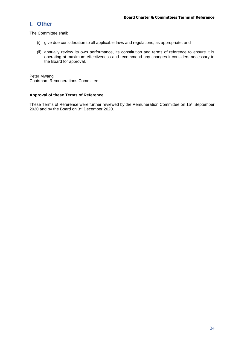## **I. Other**

The Committee shall:

- (i) give due consideration to all applicable laws and regulations, as appropriate; and
- (ii) annually review its own performance, its constitution and terms of reference to ensure it is operating at maximum effectiveness and recommend any changes it considers necessary to the Board for approval.

Peter Mwangi Chairman, Remunerations Committee

#### **Approval of these Terms of Reference**

These Terms of Reference were further reviewed by the Remuneration Committee on 15<sup>th</sup> September 2020 and by the Board on 3rd December 2020.